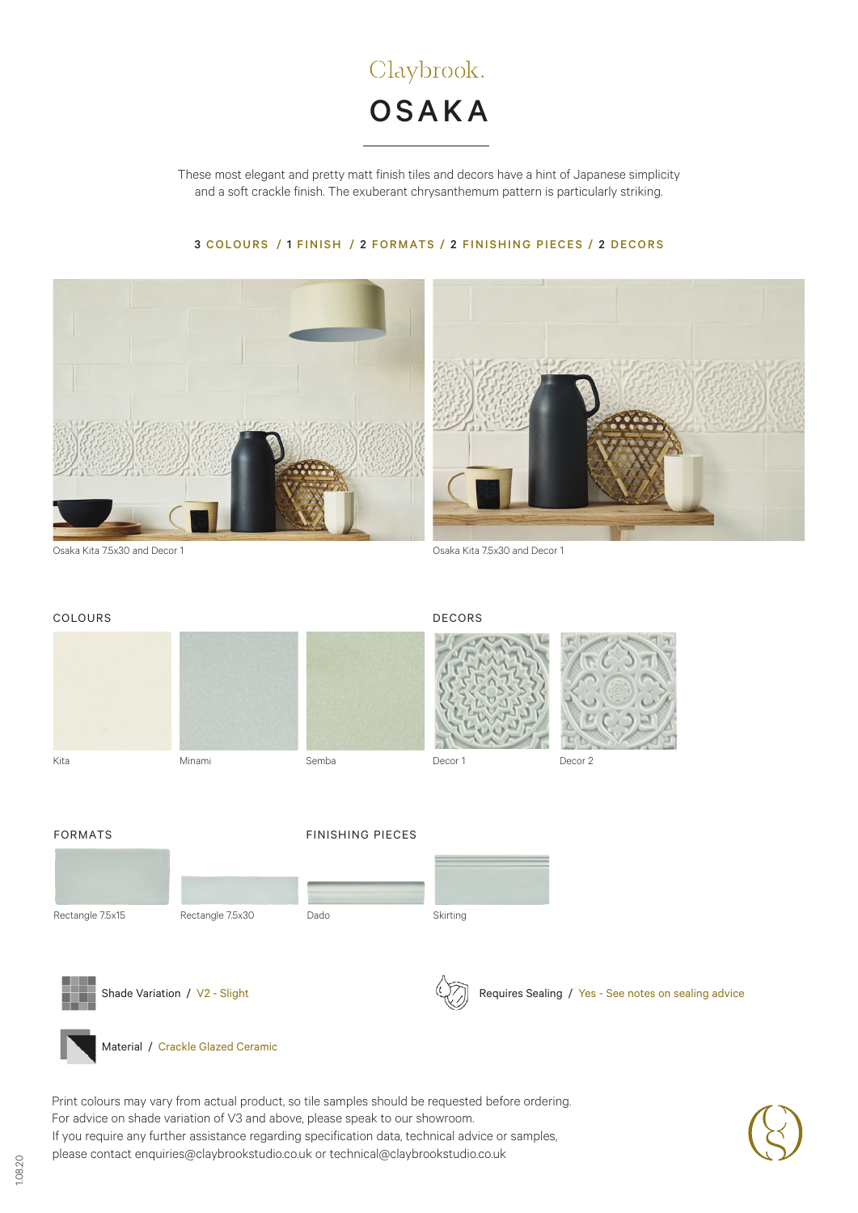

These most elegant and pretty matt finish tiles and decors have a hint of Japanese simplicity and a soft crackle finish. The exuberant chrysanthemum pattern is particularly striking.

## 3 COLOURS / 1 FINISH / 2 FORMATS / 2 FINISHING PIECES / 2 DECORS



Osaka Kita 7.5x30 and Decor 1 Osaka Kita 7.5x30 and Decor 1





Material / Crackle Glazed Ceramic

If you require any further assistance regarding specification data, technical advice or samples, please contact enquiries@claybrookstudio.co.uk or technical@claybrookstudio.co.uk Print colours may vary from actual product, so tile samples should be requested before ordering. For advice on shade variation of V3 and above, please speak to our showroom.



1.08.20